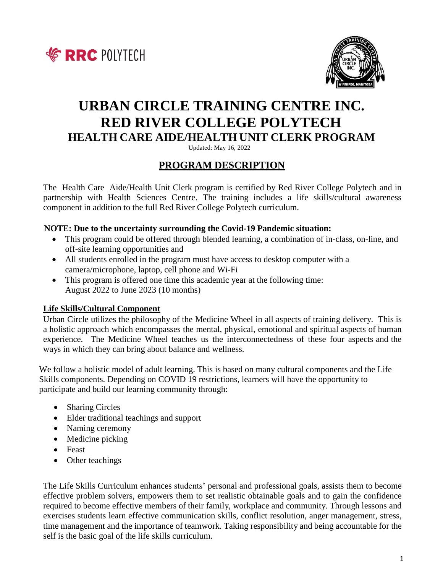



# **URBAN CIRCLE TRAINING CENTRE INC. RED RIVER COLLEGE POLYTECH HEALTH CARE AIDE/HEALTH UNIT CLERK PROGRAM**

Updated: May 16, 2022

# **PROGRAM DESCRIPTION**

The Health Care Aide/Health Unit Clerk program is certified by Red River College Polytech and in partnership with Health Sciences Centre. The training includes a life skills/cultural awareness component in addition to the full Red River College Polytech curriculum.

#### **NOTE: Due to the uncertainty surrounding the Covid-19 Pandemic situation:**

- This program could be offered through blended learning, a combination of in-class, on-line, and off-site learning opportunities and
- All students enrolled in the program must have access to desktop computer with a camera/microphone, laptop, cell phone and Wi-Fi
- This program is offered one time this academic year at the following time: August 2022 to June 2023 (10 months)

## **Life Skills/Cultural Component**

Urban Circle utilizes the philosophy of the Medicine Wheel in all aspects of training delivery. This is a holistic approach which encompasses the mental, physical, emotional and spiritual aspects of human experience. The Medicine Wheel teaches us the interconnectedness of these four aspects and the ways in which they can bring about balance and wellness.

We follow a holistic model of adult learning. This is based on many cultural components and the Life Skills components. Depending on COVID 19 restrictions, learners will have the opportunity to participate and build our learning community through:

- Sharing Circles
- Elder traditional teachings and support
- Naming ceremony
- Medicine picking
- Feast
- Other teachings

The Life Skills Curriculum enhances students' personal and professional goals, assists them to become effective problem solvers, empowers them to set realistic obtainable goals and to gain the confidence required to become effective members of their family, workplace and community. Through lessons and exercises students learn effective communication skills, conflict resolution, anger management, stress, time management and the importance of teamwork. Taking responsibility and being accountable for the self is the basic goal of the life skills curriculum.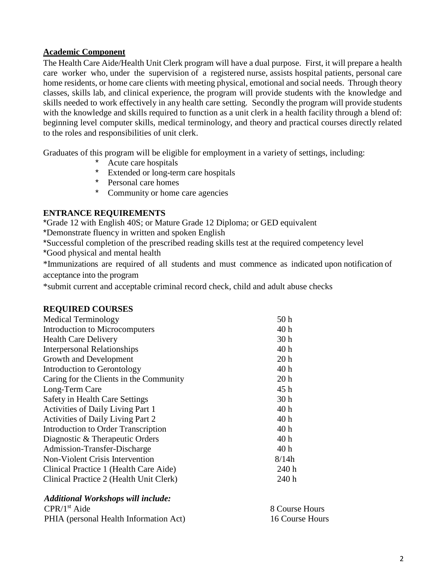#### **Academic Component**

The Health Care Aide/Health Unit Clerk program will have a dual purpose. First, it will prepare a health care worker who, under the supervision of a registered nurse, assists hospital patients, personal care home residents, or home care clients with meeting physical, emotional and social needs. Through theory classes, skills lab, and clinical experience, the program will provide students with the knowledge and skills needed to work effectively in any health care setting. Secondly the program will provide students with the knowledge and skills required to function as a unit clerk in a health facility through a blend of: beginning level computer skills, medical terminology, and theory and practical courses directly related to the roles and responsibilities of unit clerk.

Graduates of this program will be eligible for employment in a variety of settings, including:

- Acute care hospitals
- Extended or long-term care hospitals
- \* Personal care homes
- \* Community or home care agencies

## **ENTRANCE REQUIREMENTS**

\*Grade 12 with English 40S; or Mature Grade 12 Diploma; or GED equivalent

\*Demonstrate fluency in written and spoken English

\*Successful completion of the prescribed reading skills test at the required competency level

\*Good physical and mental health

\*Immunizations are required of all students and must commence as indicated upon notification of acceptance into the program

\*submit current and acceptable criminal record check, child and adult abuse checks

## **REQUIRED COURSES**

| <b>Medical Terminology</b>              | 50 <sub>h</sub> |
|-----------------------------------------|-----------------|
| Introduction to Microcomputers          | 40h             |
| <b>Health Care Delivery</b>             | 30 <sub>h</sub> |
| <b>Interpersonal Relationships</b>      | 40h             |
| Growth and Development                  | 20 <sub>h</sub> |
| Introduction to Gerontology             | 40 h            |
| Caring for the Clients in the Community | 20 <sub>h</sub> |
| Long-Term Care                          | 45h             |
| <b>Safety in Health Care Settings</b>   | 30 <sub>h</sub> |
| Activities of Daily Living Part 1       | 40h             |
| Activities of Daily Living Part 2       | 40 h            |
| Introduction to Order Transcription     | 40h             |
| Diagnostic & Therapeutic Orders         | 40h             |
| Admission-Transfer-Discharge            | 40h             |
| Non-Violent Crisis Intervention         | 8/14h           |
| Clinical Practice 1 (Health Care Aide)  | 240 h           |
| Clinical Practice 2 (Health Unit Clerk) | 240 h           |

#### *Additional Workshops will include:*

| CPR/1 <sup>st</sup> Aide               | 8 Course Hours  |
|----------------------------------------|-----------------|
| PHIA (personal Health Information Act) | 16 Course Hours |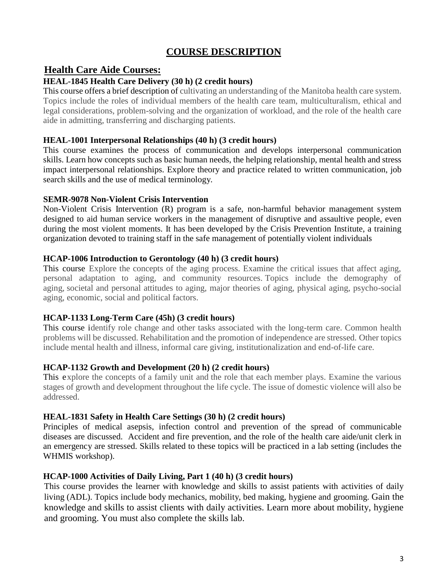# **COURSE DESCRIPTION**

# **Health Care Aide Courses:**

## **HEAL-1845 Health Care Delivery (30 h) (2 credit hours)**

This course offers a brief description of cultivating an understanding of the Manitoba health care system. Topics include the roles of individual members of the health care team, multiculturalism, ethical and legal considerations, problem-solving and the organization of workload, and the role of the health care aide in admitting, transferring and discharging patients.

## **HEAL-1001 Interpersonal Relationships (40 h) (3 credit hours)**

This course examines the process of communication and develops interpersonal communication skills. Learn how concepts such as basic human needs, the helping relationship, mental health and stress impact interpersonal relationships. Explore theory and practice related to written communication, job search skills and the use of medical terminology.

## **SEMR-9078 Non-Violent Crisis Intervention**

Non-Violent Crisis Intervention (R) program is a safe, non-harmful behavior management system designed to aid human service workers in the management of disruptive and assaultive people, even during the most violent moments. It has been developed by the Crisis Prevention Institute, a training organization devoted to training staff in the safe management of potentially violent individuals

## **HCAP-1006 Introduction to Gerontology (40 h) (3 credit hours)**

This course Explore the concepts of the aging process. Examine the critical issues that affect aging, personal adaptation to aging, and community resources. Topics include the demography of aging, societal and personal attitudes to aging, major theories of aging, physical aging, psycho-social aging, economic, social and political factors.

## **HCAP-1133 Long-Term Care (45h) (3 credit hours)**

This course identify role change and other tasks associated with the long-term care. Common health problems will be discussed. Rehabilitation and the promotion of independence are stressed. Other topics include mental health and illness, informal care giving, institutionalization and end-of-life care.

## **HCAP-1132 Growth and Development (20 h) (2 credit hours)**

This explore the concepts of a family unit and the role that each member plays. Examine the various stages of growth and development throughout the life cycle. The issue of domestic violence will also be addressed.

## **HEAL-1831 Safety in Health Care Settings (30 h) (2 credit hours)**

Principles of medical asepsis, infection control and prevention of the spread of communicable diseases are discussed. Accident and fire prevention, and the role of the health care aide/unit clerk in an emergency are stressed. Skills related to these topics will be practiced in a lab setting (includes the WHMIS workshop).

## **HCAP-1000 Activities of Daily Living, Part 1 (40 h) (3 credit hours)**

This course provides the learner with knowledge and skills to assist patients with activities of daily living (ADL). Topics include body mechanics, mobility, bed making, hygiene and grooming. Gain the knowledge and skills to assist clients with daily activities. Learn more about mobility, hygiene and grooming. You must also complete the skills lab.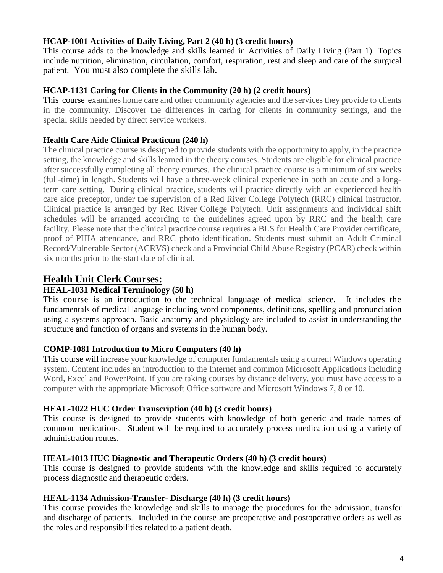#### **HCAP-1001 Activities of Daily Living, Part 2 (40 h) (3 credit hours)**

This course adds to the knowledge and skills learned in Activities of Daily Living (Part 1). Topics include nutrition, elimination, circulation, comfort, respiration, rest and sleep and care of the surgical patient. You must also complete the skills lab.

#### **HCAP-1131 Caring for Clients in the Community (20 h) (2 credit hours)**

This course examines home care and other community agencies and the services they provide to clients in the community. Discover the differences in caring for clients in community settings, and the special skills needed by direct service workers.

## **Health Care Aide Clinical Practicum (240 h)**

The clinical practice course is designed to provide students with the opportunity to apply, in the practice setting, the knowledge and skills learned in the theory courses. Students are eligible for clinical practice after successfully completing all theory courses. The clinical practice course is a minimum of six weeks (full-time) in length. Students will have a three-week clinical experience in both an acute and a longterm care setting. During clinical practice, students will practice directly with an experienced health care aide preceptor, under the supervision of a Red River College Polytech (RRC) clinical instructor. Clinical practice is arranged by Red River College Polytech. Unit assignments and individual shift schedules will be arranged according to the guidelines agreed upon by RRC and the health care facility. Please note that the clinical practice course requires a BLS for Health Care Provider certificate, proof of PHIA attendance, and RRC photo identification. Students must submit an Adult Criminal Record/Vulnerable Sector (ACRVS) check and a Provincial Child Abuse Registry (PCAR) check within six months prior to the start date of clinical.

# **Health Unit Clerk Courses:**

## **HEAL-1031 Medical Terminology (50 h)**

This course is an introduction to the technical language of medical science. It includes the fundamentals of medical language including word components, definitions, spelling and pronunciation using a systems approach. Basic anatomy and physiology are included to assist in understanding the structure and function of organs and systems in the human body.

#### **COMP-1081 Introduction to Micro Computers (40 h)**

This course will increase your knowledge of computer fundamentals using a current Windows operating system. Content includes an introduction to the Internet and common Microsoft Applications including Word, Excel and PowerPoint. If you are taking courses by distance delivery, you must have access to a computer with the appropriate Microsoft Office software and Microsoft Windows 7, 8 or 10.

## **HEAL-1022 HUC Order Transcription (40 h) (3 credit hours)**

This course is designed to provide students with knowledge of both generic and trade names of common medications. Student will be required to accurately process medication using a variety of administration routes.

#### **HEAL-1013 HUC Diagnostic and Therapeutic Orders (40 h) (3 credit hours)**

This course is designed to provide students with the knowledge and skills required to accurately process diagnostic and therapeutic orders.

#### **HEAL-1134 Admission-Transfer- Discharge (40 h) (3 credit hours)**

This course provides the knowledge and skills to manage the procedures for the admission, transfer and discharge of patients. Included in the course are preoperative and postoperative orders as well as the roles and responsibilities related to a patient death.